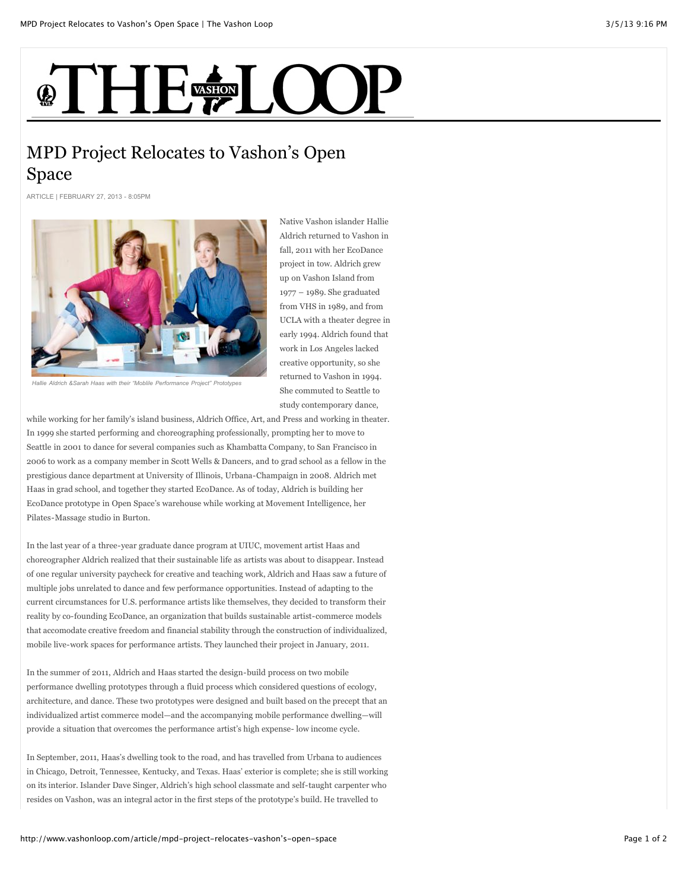## **THE ELOO**

## MPD Project Relocates to Vashon's Open Space

ARTICLE | FEBRUARY 27, 2013 - 8:05PM



Native Vashon islander Hallie Aldrich returned to Vashon in fall, 2011 with her EcoDance project in tow. Aldrich grew up on Vashon Island from 1977 – 1989. She graduated from VHS in 1989, and from UCLA with a theater degree in early 1994. Aldrich found that work in Los Angeles lacked creative opportunity, so she returned to Vashon in 1994. She commuted to Seattle to study contemporary dance,

*Hallie Aldrich &Sarah Haas with their "Moblile Performance Project" Prototypes*

while working for her family's island business, Aldrich Office, Art, and Press and working in theater. In 1999 she started performing and choreographing professionally, prompting her to move to Seattle in 2001 to dance for several companies such as Khambatta Company, to San Francisco in 2006 to work as a company member in Scott Wells & Dancers, and to grad school as a fellow in the prestigious dance department at University of Illinois, Urbana-Champaign in 2008. Aldrich met Haas in grad school, and together they started EcoDance. As of today, Aldrich is building her EcoDance prototype in Open Space's warehouse while working at Movement Intelligence, her Pilates-Massage studio in Burton.

In the last year of a three-year graduate dance program at UIUC, movement artist Haas and choreographer Aldrich realized that their sustainable life as artists was about to disappear. Instead of one regular university paycheck for creative and teaching work, Aldrich and Haas saw a future of multiple jobs unrelated to dance and few performance opportunities. Instead of adapting to the current circumstances for U.S. performance artists like themselves, they decided to transform their reality by co-founding EcoDance, an organization that builds sustainable artist-commerce models that accomodate creative freedom and financial stability through the construction of individualized, mobile live-work spaces for performance artists. They launched their project in January, 2011.

In the summer of 2011, Aldrich and Haas started the design-build process on two mobile performance dwelling prototypes through a fluid process which considered questions of ecology, architecture, and dance. These two prototypes were designed and built based on the precept that an individualized artist commerce model—and the accompanying mobile performance dwelling—will provide a situation that overcomes the performance artist's high expense- low income cycle.

In September, 2011, Haas's dwelling took to the road, and has travelled from Urbana to audiences in Chicago, Detroit, Tennessee, Kentucky, and Texas. Haas' exterior is complete; she is still working on its interior. Islander Dave Singer, Aldrich's high school classmate and self-taught carpenter who resides on Vashon, was an integral actor in the first steps of the prototype's build. He travelled to